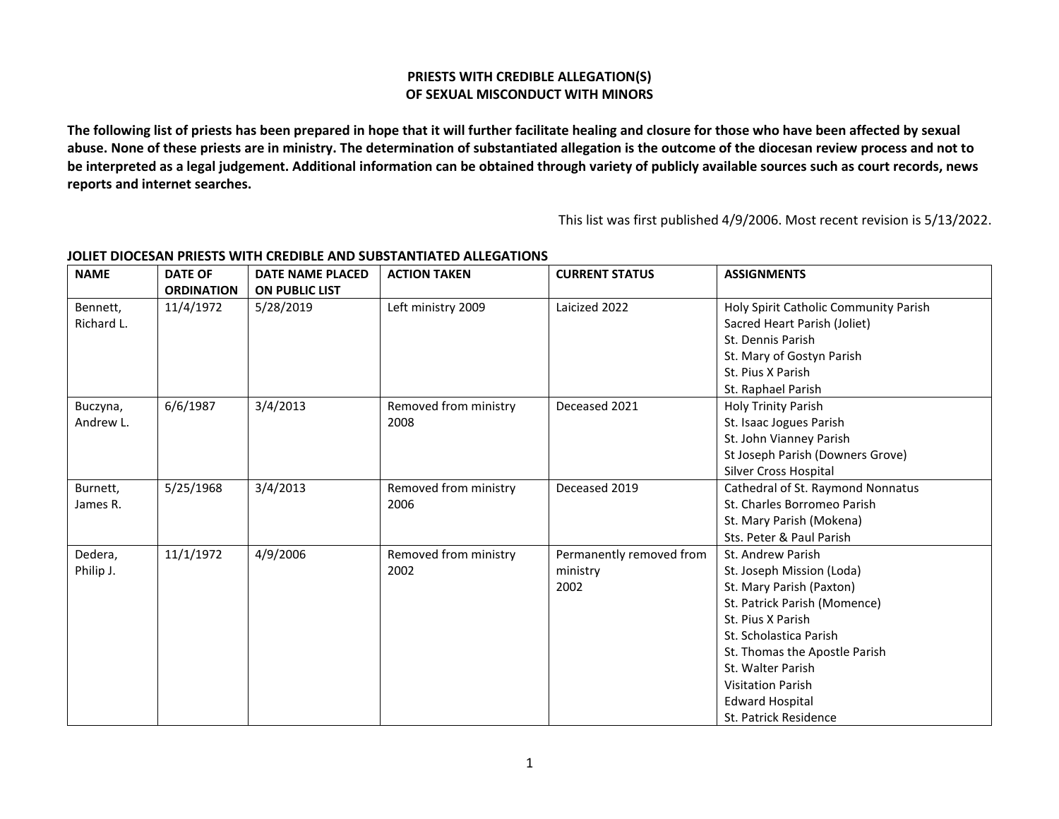## **PRIESTS WITH CREDIBLE ALLEGATION(S) OF SEXUAL MISCONDUCT WITH MINORS**

**The following list of priests has been prepared in hope that it will further facilitate healing and closure for those who have been affected by sexual abuse. None of these priests are in ministry. The determination of substantiated allegation is the outcome of the diocesan review process and not to be interpreted as a legal judgement. Additional information can be obtained through variety of publicly available sources such as court records, news reports and internet searches.**

This list was first published 4/9/2006. Most recent revision is 5/13/2022.

| <b>NAME</b> | <b>DATE OF</b>    | <b>DATE NAME PLACED</b> | <b>ACTION TAKEN</b>   | <b>CURRENT STATUS</b>    | <b>ASSIGNMENTS</b>                    |
|-------------|-------------------|-------------------------|-----------------------|--------------------------|---------------------------------------|
|             | <b>ORDINATION</b> | <b>ON PUBLIC LIST</b>   |                       |                          |                                       |
| Bennett,    | 11/4/1972         | 5/28/2019               | Left ministry 2009    | Laicized 2022            | Holy Spirit Catholic Community Parish |
| Richard L.  |                   |                         |                       |                          | Sacred Heart Parish (Joliet)          |
|             |                   |                         |                       |                          | St. Dennis Parish                     |
|             |                   |                         |                       |                          | St. Mary of Gostyn Parish             |
|             |                   |                         |                       |                          | St. Pius X Parish                     |
|             |                   |                         |                       |                          | St. Raphael Parish                    |
| Buczyna,    | 6/6/1987          | 3/4/2013                | Removed from ministry | Deceased 2021            | <b>Holy Trinity Parish</b>            |
| Andrew L.   |                   |                         | 2008                  |                          | St. Isaac Jogues Parish               |
|             |                   |                         |                       |                          | St. John Vianney Parish               |
|             |                   |                         |                       |                          | St Joseph Parish (Downers Grove)      |
|             |                   |                         |                       |                          | Silver Cross Hospital                 |
| Burnett,    | 5/25/1968         | 3/4/2013                | Removed from ministry | Deceased 2019            | Cathedral of St. Raymond Nonnatus     |
| James R.    |                   |                         | 2006                  |                          | St. Charles Borromeo Parish           |
|             |                   |                         |                       |                          | St. Mary Parish (Mokena)              |
|             |                   |                         |                       |                          | Sts. Peter & Paul Parish              |
| Dedera,     | 11/1/1972         | 4/9/2006                | Removed from ministry | Permanently removed from | St. Andrew Parish                     |
| Philip J.   |                   |                         | 2002                  | ministry                 | St. Joseph Mission (Loda)             |
|             |                   |                         |                       | 2002                     | St. Mary Parish (Paxton)              |
|             |                   |                         |                       |                          | St. Patrick Parish (Momence)          |
|             |                   |                         |                       |                          | St. Pius X Parish                     |
|             |                   |                         |                       |                          | St. Scholastica Parish                |
|             |                   |                         |                       |                          | St. Thomas the Apostle Parish         |
|             |                   |                         |                       |                          | St. Walter Parish                     |
|             |                   |                         |                       |                          | <b>Visitation Parish</b>              |
|             |                   |                         |                       |                          | <b>Edward Hospital</b>                |
|             |                   |                         |                       |                          | St. Patrick Residence                 |

## **JOLIET DIOCESAN PRIESTS WITH CREDIBLE AND SUBSTANTIATED ALLEGATIONS**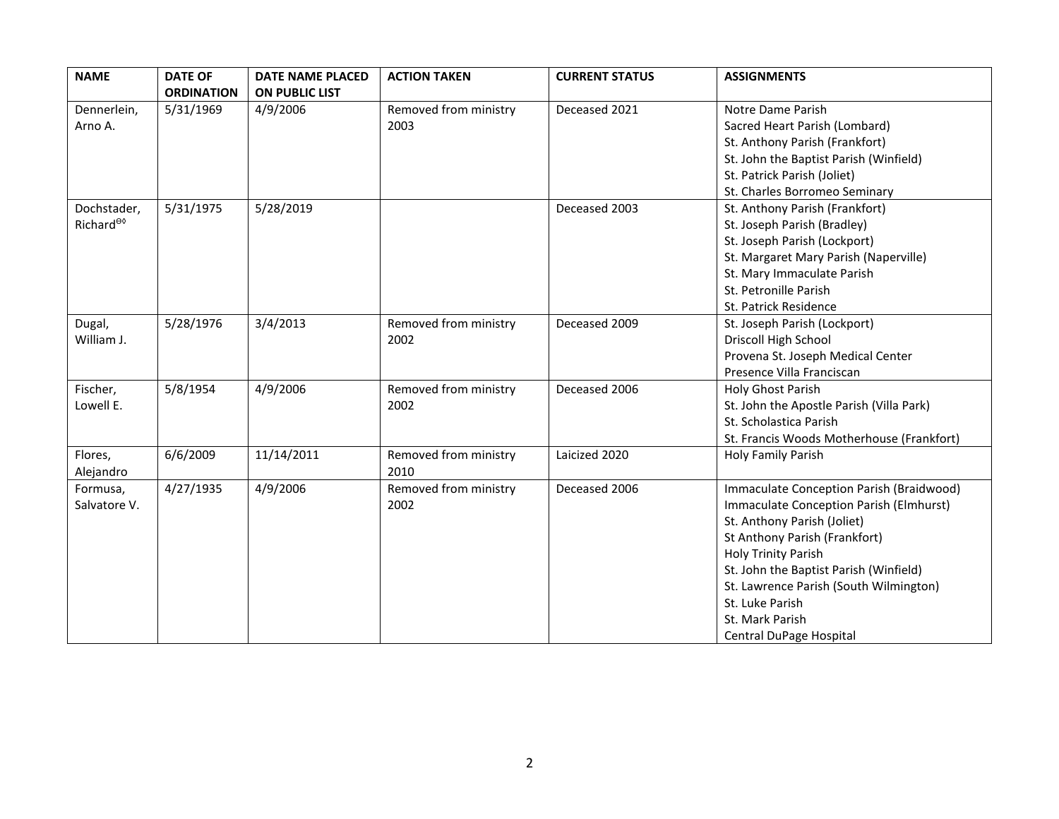| <b>NAME</b>           | <b>DATE OF</b>    | <b>DATE NAME PLACED</b> | <b>ACTION TAKEN</b>   | <b>CURRENT STATUS</b> | <b>ASSIGNMENTS</b>                        |
|-----------------------|-------------------|-------------------------|-----------------------|-----------------------|-------------------------------------------|
|                       | <b>ORDINATION</b> | <b>ON PUBLIC LIST</b>   |                       |                       |                                           |
| Dennerlein,           | 5/31/1969         | 4/9/2006                | Removed from ministry | Deceased 2021         | Notre Dame Parish                         |
| Arno A.               |                   |                         | 2003                  |                       | Sacred Heart Parish (Lombard)             |
|                       |                   |                         |                       |                       | St. Anthony Parish (Frankfort)            |
|                       |                   |                         |                       |                       | St. John the Baptist Parish (Winfield)    |
|                       |                   |                         |                       |                       | St. Patrick Parish (Joliet)               |
|                       |                   |                         |                       |                       | St. Charles Borromeo Seminary             |
| Dochstader,           | 5/31/1975         | 5/28/2019               |                       | Deceased 2003         | St. Anthony Parish (Frankfort)            |
| Richard <sup>eo</sup> |                   |                         |                       |                       | St. Joseph Parish (Bradley)               |
|                       |                   |                         |                       |                       | St. Joseph Parish (Lockport)              |
|                       |                   |                         |                       |                       | St. Margaret Mary Parish (Naperville)     |
|                       |                   |                         |                       |                       | St. Mary Immaculate Parish                |
|                       |                   |                         |                       |                       | St. Petronille Parish                     |
|                       |                   |                         |                       |                       | St. Patrick Residence                     |
| Dugal,                | 5/28/1976         | 3/4/2013                | Removed from ministry | Deceased 2009         | St. Joseph Parish (Lockport)              |
| William J.            |                   |                         | 2002                  |                       | Driscoll High School                      |
|                       |                   |                         |                       |                       | Provena St. Joseph Medical Center         |
|                       |                   |                         |                       |                       | Presence Villa Franciscan                 |
| Fischer,              | 5/8/1954          | 4/9/2006                | Removed from ministry | Deceased 2006         | Holy Ghost Parish                         |
| Lowell E.             |                   |                         | 2002                  |                       | St. John the Apostle Parish (Villa Park)  |
|                       |                   |                         |                       |                       | St. Scholastica Parish                    |
|                       |                   |                         |                       |                       | St. Francis Woods Motherhouse (Frankfort) |
| Flores,               | 6/6/2009          | 11/14/2011              | Removed from ministry | Laicized 2020         | <b>Holy Family Parish</b>                 |
| Alejandro             |                   |                         | 2010                  |                       |                                           |
| Formusa,              | 4/27/1935         | 4/9/2006                | Removed from ministry | Deceased 2006         | Immaculate Conception Parish (Braidwood)  |
| Salvatore V.          |                   |                         | 2002                  |                       | Immaculate Conception Parish (Elmhurst)   |
|                       |                   |                         |                       |                       | St. Anthony Parish (Joliet)               |
|                       |                   |                         |                       |                       | St Anthony Parish (Frankfort)             |
|                       |                   |                         |                       |                       | <b>Holy Trinity Parish</b>                |
|                       |                   |                         |                       |                       | St. John the Baptist Parish (Winfield)    |
|                       |                   |                         |                       |                       | St. Lawrence Parish (South Wilmington)    |
|                       |                   |                         |                       |                       | St. Luke Parish                           |
|                       |                   |                         |                       |                       | St. Mark Parish                           |
|                       |                   |                         |                       |                       | Central DuPage Hospital                   |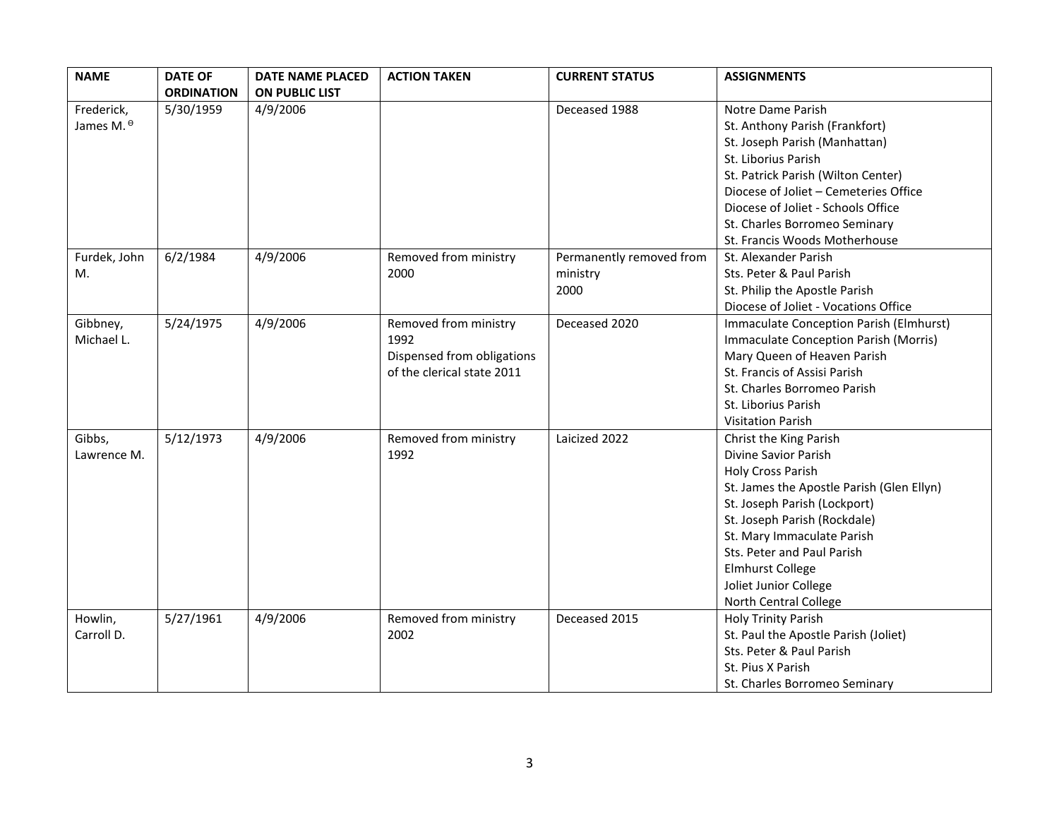| <b>NAME</b>           | <b>DATE OF</b>    | <b>DATE NAME PLACED</b> | <b>ACTION TAKEN</b>        | <b>CURRENT STATUS</b>    | <b>ASSIGNMENTS</b>                           |
|-----------------------|-------------------|-------------------------|----------------------------|--------------------------|----------------------------------------------|
|                       | <b>ORDINATION</b> | <b>ON PUBLIC LIST</b>   |                            |                          |                                              |
| Frederick,            | 5/30/1959         | 4/9/2006                |                            | Deceased 1988            | Notre Dame Parish                            |
| James M. <sup>0</sup> |                   |                         |                            |                          | St. Anthony Parish (Frankfort)               |
|                       |                   |                         |                            |                          | St. Joseph Parish (Manhattan)                |
|                       |                   |                         |                            |                          | St. Liborius Parish                          |
|                       |                   |                         |                            |                          | St. Patrick Parish (Wilton Center)           |
|                       |                   |                         |                            |                          | Diocese of Joliet - Cemeteries Office        |
|                       |                   |                         |                            |                          | Diocese of Joliet - Schools Office           |
|                       |                   |                         |                            |                          | St. Charles Borromeo Seminary                |
|                       |                   |                         |                            |                          | St. Francis Woods Motherhouse                |
| Furdek, John          | 6/2/1984          | 4/9/2006                | Removed from ministry      | Permanently removed from | St. Alexander Parish                         |
| M.                    |                   |                         | 2000                       | ministry                 | Sts. Peter & Paul Parish                     |
|                       |                   |                         |                            | 2000                     | St. Philip the Apostle Parish                |
|                       |                   |                         |                            |                          | Diocese of Joliet - Vocations Office         |
| Gibbney,              | 5/24/1975         | 4/9/2006                | Removed from ministry      | Deceased 2020            | Immaculate Conception Parish (Elmhurst)      |
| Michael L.            |                   |                         | 1992                       |                          | <b>Immaculate Conception Parish (Morris)</b> |
|                       |                   |                         | Dispensed from obligations |                          | Mary Queen of Heaven Parish                  |
|                       |                   |                         | of the clerical state 2011 |                          | St. Francis of Assisi Parish                 |
|                       |                   |                         |                            |                          | St. Charles Borromeo Parish                  |
|                       |                   |                         |                            |                          | St. Liborius Parish                          |
|                       |                   |                         |                            |                          | <b>Visitation Parish</b>                     |
| Gibbs,                | 5/12/1973         | 4/9/2006                | Removed from ministry      | Laicized 2022            | Christ the King Parish                       |
| Lawrence M.           |                   |                         | 1992                       |                          | Divine Savior Parish                         |
|                       |                   |                         |                            |                          | <b>Holy Cross Parish</b>                     |
|                       |                   |                         |                            |                          | St. James the Apostle Parish (Glen Ellyn)    |
|                       |                   |                         |                            |                          | St. Joseph Parish (Lockport)                 |
|                       |                   |                         |                            |                          | St. Joseph Parish (Rockdale)                 |
|                       |                   |                         |                            |                          | St. Mary Immaculate Parish                   |
|                       |                   |                         |                            |                          | Sts. Peter and Paul Parish                   |
|                       |                   |                         |                            |                          | <b>Elmhurst College</b>                      |
|                       |                   |                         |                            |                          | Joliet Junior College                        |
|                       |                   |                         |                            |                          | North Central College                        |
| Howlin,               | 5/27/1961         | 4/9/2006                | Removed from ministry      | Deceased 2015            | Holy Trinity Parish                          |
| Carroll D.            |                   |                         | 2002                       |                          | St. Paul the Apostle Parish (Joliet)         |
|                       |                   |                         |                            |                          | Sts. Peter & Paul Parish                     |
|                       |                   |                         |                            |                          | St. Pius X Parish                            |
|                       |                   |                         |                            |                          | St. Charles Borromeo Seminary                |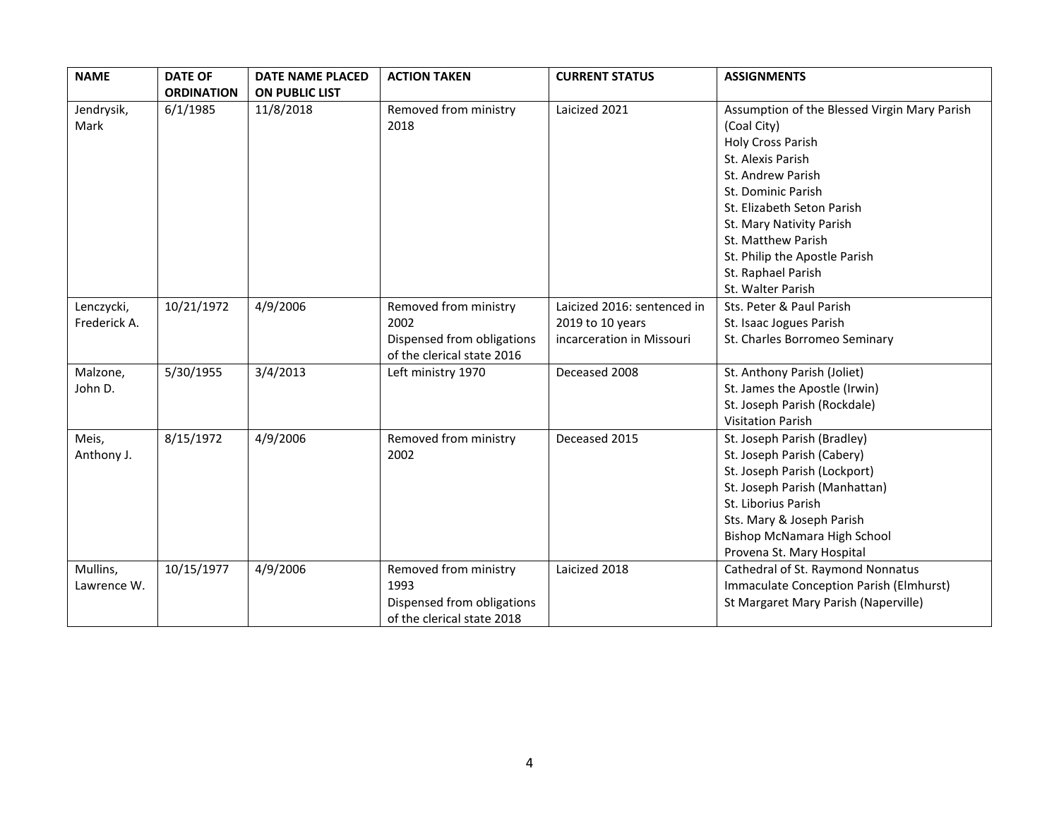| <b>NAME</b>                | <b>DATE OF</b>    | <b>DATE NAME PLACED</b> | <b>ACTION TAKEN</b>                                                                       | <b>CURRENT STATUS</b>                                                        | <b>ASSIGNMENTS</b>                                                                                                                                                                                                                                                                                                  |
|----------------------------|-------------------|-------------------------|-------------------------------------------------------------------------------------------|------------------------------------------------------------------------------|---------------------------------------------------------------------------------------------------------------------------------------------------------------------------------------------------------------------------------------------------------------------------------------------------------------------|
|                            | <b>ORDINATION</b> | <b>ON PUBLIC LIST</b>   |                                                                                           |                                                                              |                                                                                                                                                                                                                                                                                                                     |
| Jendrysik,<br>Mark         | 6/1/1985          | 11/8/2018               | Removed from ministry<br>2018                                                             | Laicized 2021                                                                | Assumption of the Blessed Virgin Mary Parish<br>(Coal City)<br><b>Holy Cross Parish</b><br>St. Alexis Parish<br>St. Andrew Parish<br>St. Dominic Parish<br>St. Elizabeth Seton Parish<br>St. Mary Nativity Parish<br>St. Matthew Parish<br>St. Philip the Apostle Parish<br>St. Raphael Parish<br>St. Walter Parish |
| Lenczycki,<br>Frederick A. | 10/21/1972        | 4/9/2006                | Removed from ministry<br>2002<br>Dispensed from obligations<br>of the clerical state 2016 | Laicized 2016: sentenced in<br>2019 to 10 years<br>incarceration in Missouri | Sts. Peter & Paul Parish<br>St. Isaac Jogues Parish<br>St. Charles Borromeo Seminary                                                                                                                                                                                                                                |
| Malzone,<br>John D.        | 5/30/1955         | 3/4/2013                | Left ministry 1970                                                                        | Deceased 2008                                                                | St. Anthony Parish (Joliet)<br>St. James the Apostle (Irwin)<br>St. Joseph Parish (Rockdale)<br><b>Visitation Parish</b>                                                                                                                                                                                            |
| Meis,<br>Anthony J.        | 8/15/1972         | 4/9/2006                | Removed from ministry<br>2002                                                             | Deceased 2015                                                                | St. Joseph Parish (Bradley)<br>St. Joseph Parish (Cabery)<br>St. Joseph Parish (Lockport)<br>St. Joseph Parish (Manhattan)<br>St. Liborius Parish<br>Sts. Mary & Joseph Parish<br><b>Bishop McNamara High School</b><br>Provena St. Mary Hospital                                                                   |
| Mullins,<br>Lawrence W.    | 10/15/1977        | 4/9/2006                | Removed from ministry<br>1993<br>Dispensed from obligations<br>of the clerical state 2018 | Laicized 2018                                                                | Cathedral of St. Raymond Nonnatus<br>Immaculate Conception Parish (Elmhurst)<br>St Margaret Mary Parish (Naperville)                                                                                                                                                                                                |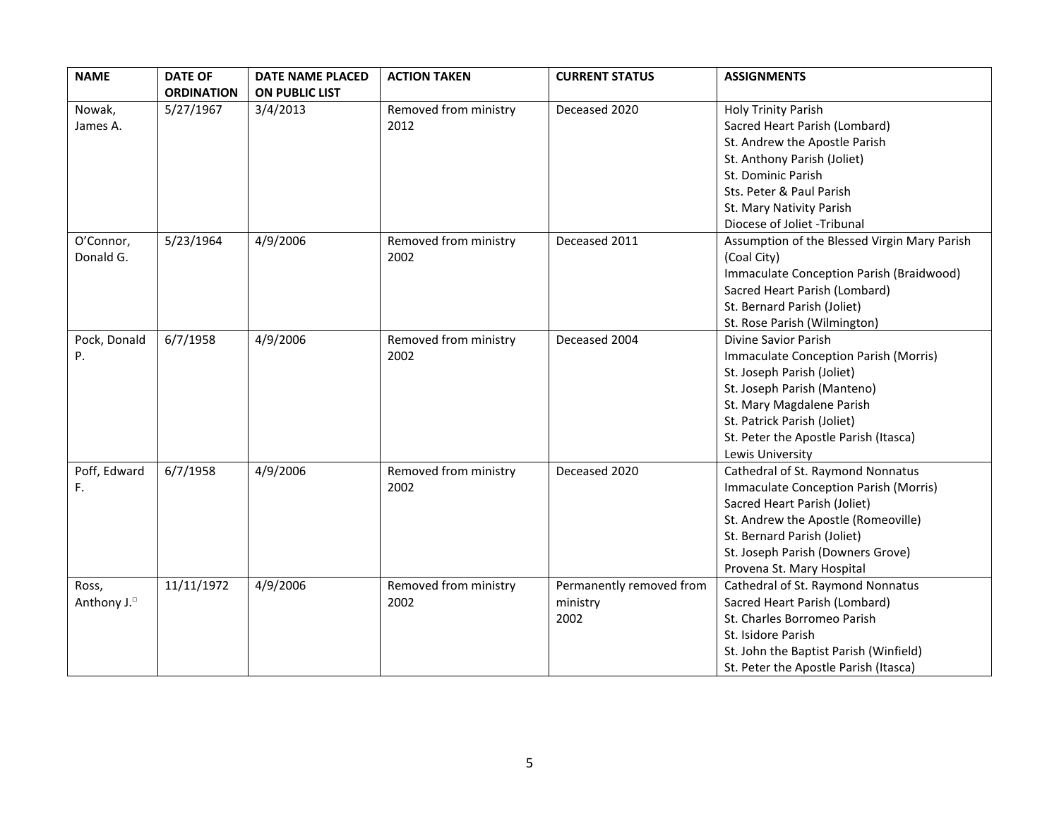| <b>NAME</b>             | <b>DATE OF</b>    | <b>DATE NAME PLACED</b> | <b>ACTION TAKEN</b>   | <b>CURRENT STATUS</b>    | <b>ASSIGNMENTS</b>                           |
|-------------------------|-------------------|-------------------------|-----------------------|--------------------------|----------------------------------------------|
|                         | <b>ORDINATION</b> | <b>ON PUBLIC LIST</b>   |                       |                          |                                              |
| Nowak,                  | 5/27/1967         | 3/4/2013                | Removed from ministry | Deceased 2020            | <b>Holy Trinity Parish</b>                   |
| James A.                |                   |                         | 2012                  |                          | Sacred Heart Parish (Lombard)                |
|                         |                   |                         |                       |                          | St. Andrew the Apostle Parish                |
|                         |                   |                         |                       |                          | St. Anthony Parish (Joliet)                  |
|                         |                   |                         |                       |                          | St. Dominic Parish                           |
|                         |                   |                         |                       |                          | Sts. Peter & Paul Parish                     |
|                         |                   |                         |                       |                          | St. Mary Nativity Parish                     |
|                         |                   |                         |                       |                          | Diocese of Joliet -Tribunal                  |
| O'Connor,               | 5/23/1964         | 4/9/2006                | Removed from ministry | Deceased 2011            | Assumption of the Blessed Virgin Mary Parish |
| Donald G.               |                   |                         | 2002                  |                          | (Coal City)                                  |
|                         |                   |                         |                       |                          | Immaculate Conception Parish (Braidwood)     |
|                         |                   |                         |                       |                          | Sacred Heart Parish (Lombard)                |
|                         |                   |                         |                       |                          | St. Bernard Parish (Joliet)                  |
|                         |                   |                         |                       |                          | St. Rose Parish (Wilmington)                 |
| Pock, Donald            | 6/7/1958          | 4/9/2006                | Removed from ministry | Deceased 2004            | Divine Savior Parish                         |
| P.                      |                   |                         | 2002                  |                          | Immaculate Conception Parish (Morris)        |
|                         |                   |                         |                       |                          | St. Joseph Parish (Joliet)                   |
|                         |                   |                         |                       |                          | St. Joseph Parish (Manteno)                  |
|                         |                   |                         |                       |                          | St. Mary Magdalene Parish                    |
|                         |                   |                         |                       |                          | St. Patrick Parish (Joliet)                  |
|                         |                   |                         |                       |                          | St. Peter the Apostle Parish (Itasca)        |
|                         |                   |                         |                       |                          | Lewis University                             |
| Poff, Edward            | 6/7/1958          | 4/9/2006                | Removed from ministry | Deceased 2020            | Cathedral of St. Raymond Nonnatus            |
| F.                      |                   |                         | 2002                  |                          | Immaculate Conception Parish (Morris)        |
|                         |                   |                         |                       |                          | Sacred Heart Parish (Joliet)                 |
|                         |                   |                         |                       |                          | St. Andrew the Apostle (Romeoville)          |
|                         |                   |                         |                       |                          | St. Bernard Parish (Joliet)                  |
|                         |                   |                         |                       |                          | St. Joseph Parish (Downers Grove)            |
|                         |                   |                         |                       |                          | Provena St. Mary Hospital                    |
| Ross,                   | 11/11/1972        | 4/9/2006                | Removed from ministry | Permanently removed from | Cathedral of St. Raymond Nonnatus            |
| Anthony J. <sup>D</sup> |                   |                         | 2002                  | ministry                 | Sacred Heart Parish (Lombard)                |
|                         |                   |                         |                       | 2002                     | St. Charles Borromeo Parish                  |
|                         |                   |                         |                       |                          | St. Isidore Parish                           |
|                         |                   |                         |                       |                          | St. John the Baptist Parish (Winfield)       |
|                         |                   |                         |                       |                          | St. Peter the Apostle Parish (Itasca)        |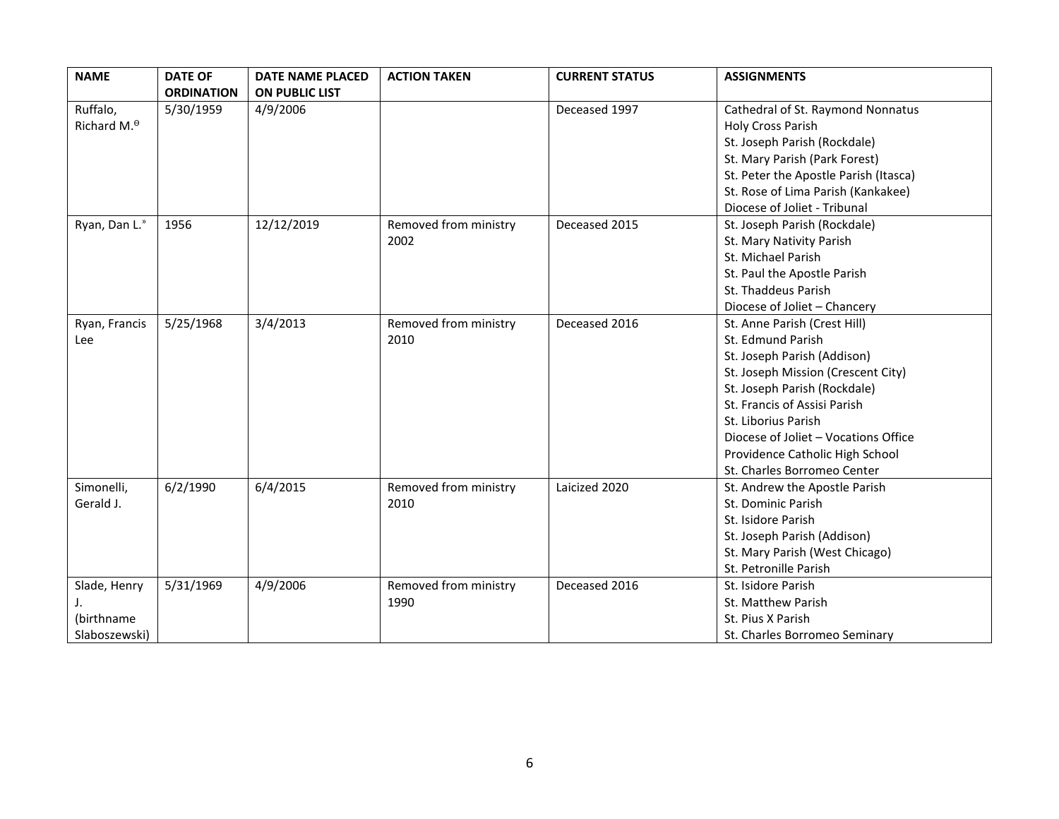| <b>NAME</b>            | <b>DATE OF</b>    | <b>DATE NAME PLACED</b> | <b>ACTION TAKEN</b>   | <b>CURRENT STATUS</b> | <b>ASSIGNMENTS</b>                    |
|------------------------|-------------------|-------------------------|-----------------------|-----------------------|---------------------------------------|
|                        | <b>ORDINATION</b> | ON PUBLIC LIST          |                       |                       |                                       |
| Ruffalo,               | 5/30/1959         | 4/9/2006                |                       | Deceased 1997         | Cathedral of St. Raymond Nonnatus     |
| Richard M. $^{\Theta}$ |                   |                         |                       |                       | Holy Cross Parish                     |
|                        |                   |                         |                       |                       | St. Joseph Parish (Rockdale)          |
|                        |                   |                         |                       |                       | St. Mary Parish (Park Forest)         |
|                        |                   |                         |                       |                       | St. Peter the Apostle Parish (Itasca) |
|                        |                   |                         |                       |                       | St. Rose of Lima Parish (Kankakee)    |
|                        |                   |                         |                       |                       | Diocese of Joliet - Tribunal          |
| Ryan, Dan L."          | 1956              | 12/12/2019              | Removed from ministry | Deceased 2015         | St. Joseph Parish (Rockdale)          |
|                        |                   |                         | 2002                  |                       | St. Mary Nativity Parish              |
|                        |                   |                         |                       |                       | St. Michael Parish                    |
|                        |                   |                         |                       |                       | St. Paul the Apostle Parish           |
|                        |                   |                         |                       |                       | St. Thaddeus Parish                   |
|                        |                   |                         |                       |                       | Diocese of Joliet - Chancery          |
| Ryan, Francis          | 5/25/1968         | 3/4/2013                | Removed from ministry | Deceased 2016         | St. Anne Parish (Crest Hill)          |
| Lee                    |                   |                         | 2010                  |                       | St. Edmund Parish                     |
|                        |                   |                         |                       |                       | St. Joseph Parish (Addison)           |
|                        |                   |                         |                       |                       | St. Joseph Mission (Crescent City)    |
|                        |                   |                         |                       |                       | St. Joseph Parish (Rockdale)          |
|                        |                   |                         |                       |                       | St. Francis of Assisi Parish          |
|                        |                   |                         |                       |                       | St. Liborius Parish                   |
|                        |                   |                         |                       |                       | Diocese of Joliet - Vocations Office  |
|                        |                   |                         |                       |                       | Providence Catholic High School       |
|                        |                   |                         |                       |                       | St. Charles Borromeo Center           |
| Simonelli,             | 6/2/1990          | 6/4/2015                | Removed from ministry | Laicized 2020         | St. Andrew the Apostle Parish         |
| Gerald J.              |                   |                         | 2010                  |                       | St. Dominic Parish                    |
|                        |                   |                         |                       |                       | St. Isidore Parish                    |
|                        |                   |                         |                       |                       | St. Joseph Parish (Addison)           |
|                        |                   |                         |                       |                       | St. Mary Parish (West Chicago)        |
|                        |                   |                         |                       |                       | St. Petronille Parish                 |
| Slade, Henry           | 5/31/1969         | 4/9/2006                | Removed from ministry | Deceased 2016         | St. Isidore Parish                    |
| J.                     |                   |                         | 1990                  |                       | St. Matthew Parish                    |
| (birthname             |                   |                         |                       |                       | St. Pius X Parish                     |
| Slaboszewski)          |                   |                         |                       |                       | St. Charles Borromeo Seminary         |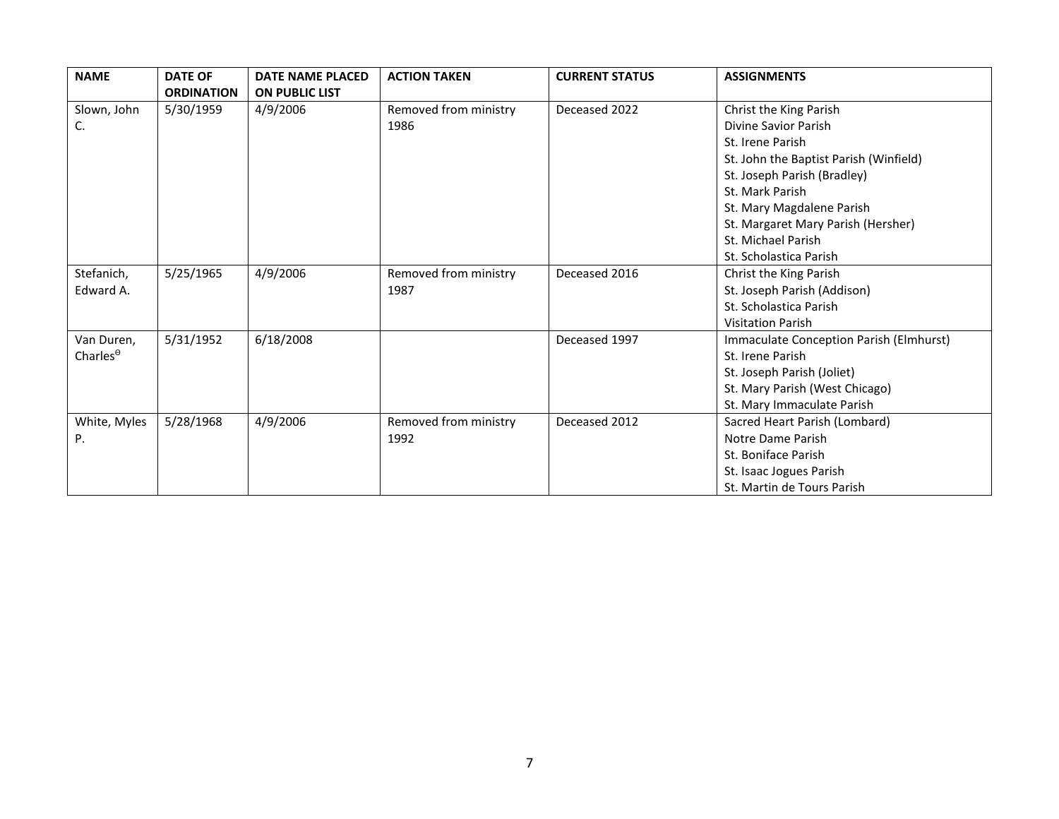| <b>NAME</b>         | <b>DATE OF</b>    | <b>DATE NAME PLACED</b> | <b>ACTION TAKEN</b>   | <b>CURRENT STATUS</b> | <b>ASSIGNMENTS</b>                      |
|---------------------|-------------------|-------------------------|-----------------------|-----------------------|-----------------------------------------|
|                     | <b>ORDINATION</b> | <b>ON PUBLIC LIST</b>   |                       |                       |                                         |
| Slown, John         | 5/30/1959         | 4/9/2006                | Removed from ministry | Deceased 2022         | Christ the King Parish                  |
| C.                  |                   |                         | 1986                  |                       | Divine Savior Parish                    |
|                     |                   |                         |                       |                       | St. Irene Parish                        |
|                     |                   |                         |                       |                       | St. John the Baptist Parish (Winfield)  |
|                     |                   |                         |                       |                       | St. Joseph Parish (Bradley)             |
|                     |                   |                         |                       |                       | St. Mark Parish                         |
|                     |                   |                         |                       |                       | St. Mary Magdalene Parish               |
|                     |                   |                         |                       |                       | St. Margaret Mary Parish (Hersher)      |
|                     |                   |                         |                       |                       | St. Michael Parish                      |
|                     |                   |                         |                       |                       | St. Scholastica Parish                  |
| Stefanich,          | 5/25/1965         | 4/9/2006                | Removed from ministry | Deceased 2016         | Christ the King Parish                  |
| Edward A.           |                   |                         | 1987                  |                       | St. Joseph Parish (Addison)             |
|                     |                   |                         |                       |                       | St. Scholastica Parish                  |
|                     |                   |                         |                       |                       | <b>Visitation Parish</b>                |
| Van Duren,          | 5/31/1952         | 6/18/2008               |                       | Deceased 1997         | Immaculate Conception Parish (Elmhurst) |
| Charles $^{\theta}$ |                   |                         |                       |                       | St. Irene Parish                        |
|                     |                   |                         |                       |                       | St. Joseph Parish (Joliet)              |
|                     |                   |                         |                       |                       | St. Mary Parish (West Chicago)          |
|                     |                   |                         |                       |                       | St. Mary Immaculate Parish              |
| White, Myles        | 5/28/1968         | 4/9/2006                | Removed from ministry | Deceased 2012         | Sacred Heart Parish (Lombard)           |
| Ρ.                  |                   |                         | 1992                  |                       | Notre Dame Parish                       |
|                     |                   |                         |                       |                       | St. Boniface Parish                     |
|                     |                   |                         |                       |                       | St. Isaac Jogues Parish                 |
|                     |                   |                         |                       |                       | St. Martin de Tours Parish              |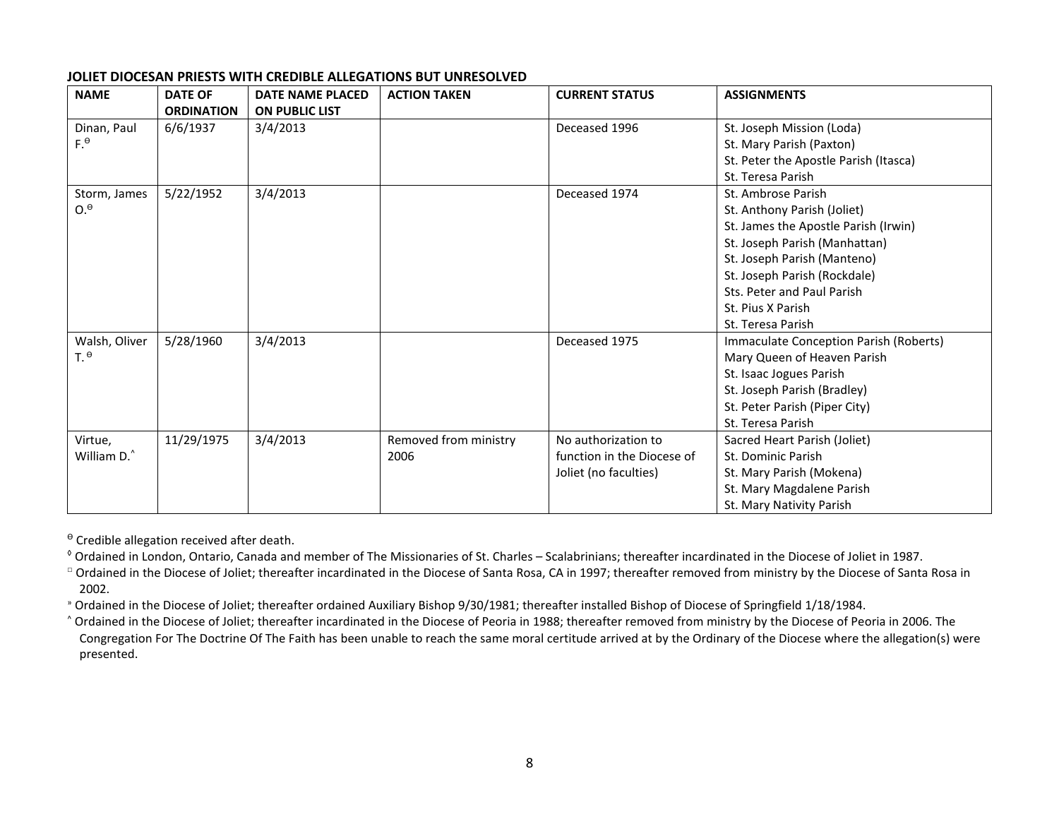## **JOLIET DIOCESAN PRIESTS WITH CREDIBLE ALLEGATIONS BUT UNRESOLVED**

| <b>NAME</b>     | <b>DATE OF</b>    | <b>DATE NAME PLACED</b> | <b>ACTION TAKEN</b>   | <b>CURRENT STATUS</b>      | <b>ASSIGNMENTS</b>                     |
|-----------------|-------------------|-------------------------|-----------------------|----------------------------|----------------------------------------|
|                 | <b>ORDINATION</b> | <b>ON PUBLIC LIST</b>   |                       |                            |                                        |
| Dinan, Paul     | 6/6/1937          | 3/4/2013                |                       | Deceased 1996              | St. Joseph Mission (Loda)              |
| $F^{\theta}$    |                   |                         |                       |                            | St. Mary Parish (Paxton)               |
|                 |                   |                         |                       |                            | St. Peter the Apostle Parish (Itasca)  |
|                 |                   |                         |                       |                            | St. Teresa Parish                      |
| Storm, James    | 5/22/1952         | 3/4/2013                |                       | Deceased 1974              | St. Ambrose Parish                     |
| 0. <sup>θ</sup> |                   |                         |                       |                            | St. Anthony Parish (Joliet)            |
|                 |                   |                         |                       |                            | St. James the Apostle Parish (Irwin)   |
|                 |                   |                         |                       |                            | St. Joseph Parish (Manhattan)          |
|                 |                   |                         |                       |                            | St. Joseph Parish (Manteno)            |
|                 |                   |                         |                       |                            | St. Joseph Parish (Rockdale)           |
|                 |                   |                         |                       |                            | Sts. Peter and Paul Parish             |
|                 |                   |                         |                       |                            | St. Pius X Parish                      |
|                 |                   |                         |                       |                            | St. Teresa Parish                      |
| Walsh, Oliver   | 5/28/1960         | 3/4/2013                |                       | Deceased 1975              | Immaculate Conception Parish (Roberts) |
| T. <sup>θ</sup> |                   |                         |                       |                            | Mary Queen of Heaven Parish            |
|                 |                   |                         |                       |                            | St. Isaac Jogues Parish                |
|                 |                   |                         |                       |                            | St. Joseph Parish (Bradley)            |
|                 |                   |                         |                       |                            | St. Peter Parish (Piper City)          |
|                 |                   |                         |                       |                            | St. Teresa Parish                      |
| Virtue,         | 11/29/1975        | 3/4/2013                | Removed from ministry | No authorization to        | Sacred Heart Parish (Joliet)           |
| William D.^     |                   |                         | 2006                  | function in the Diocese of | St. Dominic Parish                     |
|                 |                   |                         |                       | Joliet (no faculties)      | St. Mary Parish (Mokena)               |
|                 |                   |                         |                       |                            | St. Mary Magdalene Parish              |
|                 |                   |                         |                       |                            | St. Mary Nativity Parish               |

 $\theta$  Credible allegation received after death.

◊ Ordained in London, Ontario, Canada and member of The Missionaries of St. Charles – Scalabrinians; thereafter incardinated in the Diocese of Joliet in 1987.

□ Ordained in the Diocese of Joliet; thereafter incardinated in the Diocese of Santa Rosa, CA in 1997; thereafter removed from ministry by the Diocese of Santa Rosa in 2002.

» Ordained in the Diocese of Joliet; thereafter ordained Auxiliary Bishop 9/30/1981; thereafter installed Bishop of Diocese of Springfield 1/18/1984.

^ Ordained in the Diocese of Joliet; thereafter incardinated in the Diocese of Peoria in 1988; thereafter removed from ministry by the Diocese of Peoria in 2006. The Congregation For The Doctrine Of The Faith has been unable to reach the same moral certitude arrived at by the Ordinary of the Diocese where the allegation(s) were presented.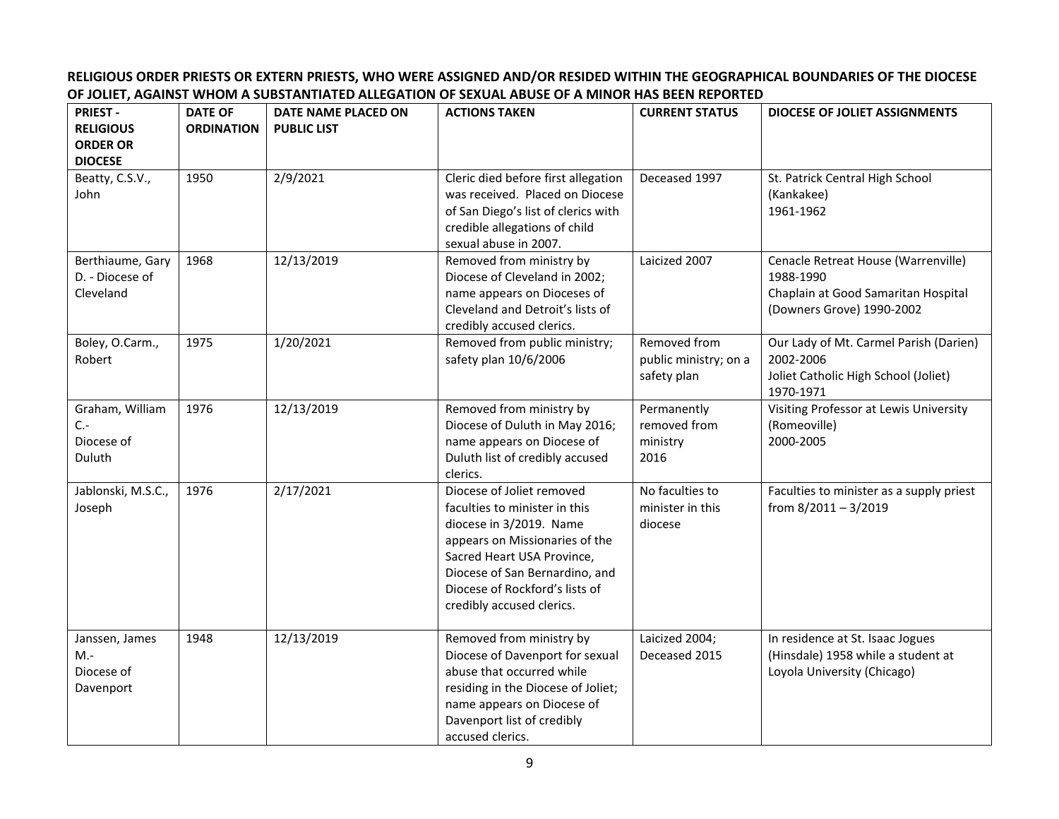## **RELIGIOUS ORDER PRIESTS OR EXTERN PRIESTS, WHO WERE ASSIGNED AND/OR RESIDED WITHIN THE GEOGRAPHICAL BOUNDARIES OF THE DIOCESE OF JOLIET, AGAINST WHOM A SUBSTANTIATED ALLEGATION OF SEXUAL ABUSE OF A MINOR HAS BEEN REPORTED**

| <b>PRIEST-</b><br><b>RELIGIOUS</b><br><b>ORDER OR</b><br><b>DIOCESE</b> | <b>DATE OF</b><br><b>ORDINATION</b> | DATE NAME PLACED ON<br><b>PUBLIC LIST</b> | <b>ACTIONS TAKEN</b>                                                                                                                                                                                                                                   | <b>CURRENT STATUS</b>                                | <b>DIOCESE OF JOLIET ASSIGNMENTS</b>                                                                                 |
|-------------------------------------------------------------------------|-------------------------------------|-------------------------------------------|--------------------------------------------------------------------------------------------------------------------------------------------------------------------------------------------------------------------------------------------------------|------------------------------------------------------|----------------------------------------------------------------------------------------------------------------------|
| Beatty, C.S.V.,<br>John                                                 | 1950                                | 2/9/2021                                  | Cleric died before first allegation<br>was received. Placed on Diocese<br>of San Diego's list of clerics with<br>credible allegations of child<br>sexual abuse in 2007.                                                                                | Deceased 1997                                        | St. Patrick Central High School<br>(Kankakee)<br>1961-1962                                                           |
| Berthiaume, Gary<br>D. - Diocese of<br>Cleveland                        | 1968                                | 12/13/2019                                | Removed from ministry by<br>Diocese of Cleveland in 2002;<br>name appears on Dioceses of<br>Cleveland and Detroit's lists of<br>credibly accused clerics.                                                                                              | Laicized 2007                                        | Cenacle Retreat House (Warrenville)<br>1988-1990<br>Chaplain at Good Samaritan Hospital<br>(Downers Grove) 1990-2002 |
| Boley, O.Carm.,<br>Robert                                               | 1975                                | 1/20/2021                                 | Removed from public ministry;<br>safety plan 10/6/2006                                                                                                                                                                                                 | Removed from<br>public ministry; on a<br>safety plan | Our Lady of Mt. Carmel Parish (Darien)<br>2002-2006<br>Joliet Catholic High School (Joliet)<br>1970-1971             |
| Graham, William<br>$C -$<br>Diocese of<br>Duluth                        | 1976                                | 12/13/2019                                | Removed from ministry by<br>Diocese of Duluth in May 2016;<br>name appears on Diocese of<br>Duluth list of credibly accused<br>clerics.                                                                                                                | Permanently<br>removed from<br>ministry<br>2016      | Visiting Professor at Lewis University<br>(Romeoville)<br>2000-2005                                                  |
| Jablonski, M.S.C.,<br>Joseph                                            | 1976                                | 2/17/2021                                 | Diocese of Joliet removed<br>faculties to minister in this<br>diocese in 3/2019. Name<br>appears on Missionaries of the<br>Sacred Heart USA Province,<br>Diocese of San Bernardino, and<br>Diocese of Rockford's lists of<br>credibly accused clerics. | No faculties to<br>minister in this<br>diocese       | Faculties to minister as a supply priest<br>from 8/2011 - 3/2019                                                     |
| Janssen, James<br>$M -$<br>Diocese of<br>Davenport                      | 1948                                | 12/13/2019                                | Removed from ministry by<br>Diocese of Davenport for sexual<br>abuse that occurred while<br>residing in the Diocese of Joliet;<br>name appears on Diocese of<br>Davenport list of credibly<br>accused clerics.                                         | Laicized 2004;<br>Deceased 2015                      | In residence at St. Isaac Jogues<br>(Hinsdale) 1958 while a student at<br>Loyola University (Chicago)                |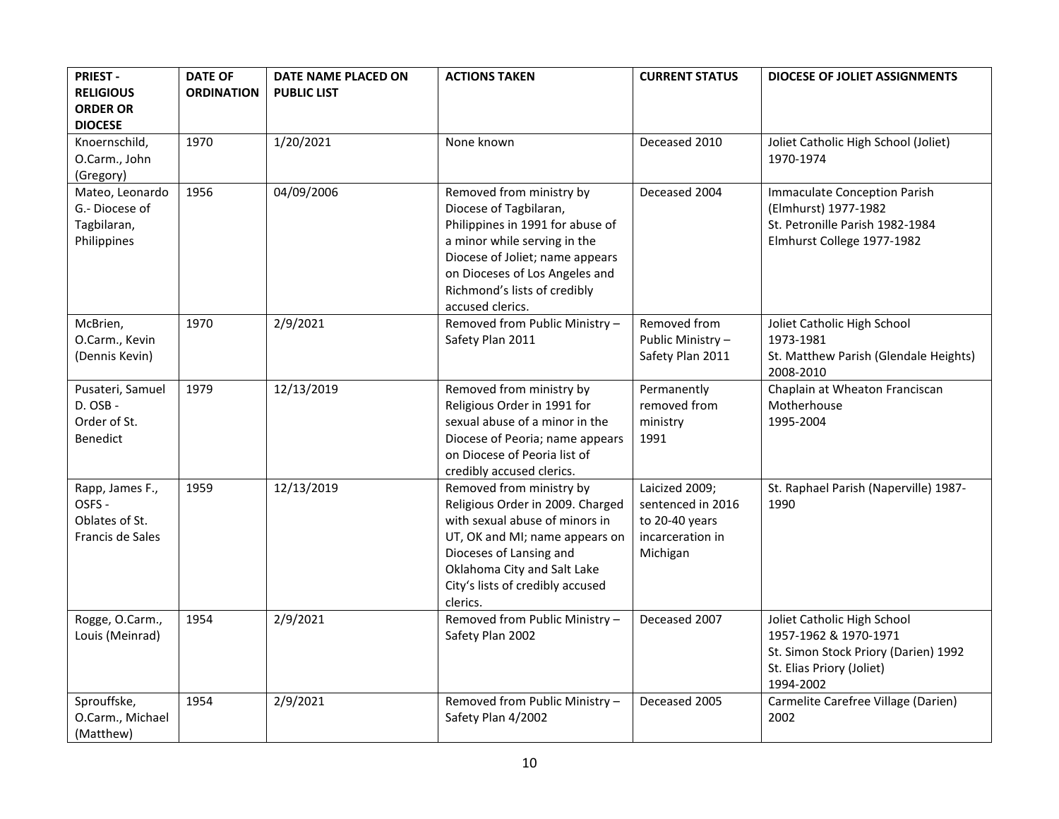| <b>PRIEST-</b><br><b>RELIGIOUS</b><br><b>ORDER OR</b><br><b>DIOCESE</b> | <b>DATE OF</b><br><b>ORDINATION</b> | DATE NAME PLACED ON<br><b>PUBLIC LIST</b> | <b>ACTIONS TAKEN</b>                                                                                                                                                                                                                            | <b>CURRENT STATUS</b>                                                                 | <b>DIOCESE OF JOLIET ASSIGNMENTS</b>                                                                                                   |
|-------------------------------------------------------------------------|-------------------------------------|-------------------------------------------|-------------------------------------------------------------------------------------------------------------------------------------------------------------------------------------------------------------------------------------------------|---------------------------------------------------------------------------------------|----------------------------------------------------------------------------------------------------------------------------------------|
| Knoernschild,<br>O.Carm., John<br>(Gregory)                             | 1970                                | 1/20/2021                                 | None known                                                                                                                                                                                                                                      | Deceased 2010                                                                         | Joliet Catholic High School (Joliet)<br>1970-1974                                                                                      |
| Mateo, Leonardo<br>G.-Diocese of<br>Tagbilaran,<br>Philippines          | 1956                                | 04/09/2006                                | Removed from ministry by<br>Diocese of Tagbilaran,<br>Philippines in 1991 for abuse of<br>a minor while serving in the<br>Diocese of Joliet; name appears<br>on Dioceses of Los Angeles and<br>Richmond's lists of credibly<br>accused clerics. | Deceased 2004                                                                         | <b>Immaculate Conception Parish</b><br>(Elmhurst) 1977-1982<br>St. Petronille Parish 1982-1984<br>Elmhurst College 1977-1982           |
| McBrien,<br>O.Carm., Kevin<br>(Dennis Kevin)                            | 1970                                | 2/9/2021                                  | Removed from Public Ministry -<br>Safety Plan 2011                                                                                                                                                                                              | Removed from<br>Public Ministry -<br>Safety Plan 2011                                 | Joliet Catholic High School<br>1973-1981<br>St. Matthew Parish (Glendale Heights)<br>2008-2010                                         |
| Pusateri, Samuel<br>D. OSB -<br>Order of St.<br>Benedict                | 1979                                | 12/13/2019                                | Removed from ministry by<br>Religious Order in 1991 for<br>sexual abuse of a minor in the<br>Diocese of Peoria; name appears<br>on Diocese of Peoria list of<br>credibly accused clerics.                                                       | Permanently<br>removed from<br>ministry<br>1991                                       | Chaplain at Wheaton Franciscan<br>Motherhouse<br>1995-2004                                                                             |
| Rapp, James F.,<br>OSFS -<br>Oblates of St.<br>Francis de Sales         | 1959                                | 12/13/2019                                | Removed from ministry by<br>Religious Order in 2009. Charged<br>with sexual abuse of minors in<br>UT, OK and MI; name appears on<br>Dioceses of Lansing and<br>Oklahoma City and Salt Lake<br>City's lists of credibly accused<br>clerics.      | Laicized 2009;<br>sentenced in 2016<br>to 20-40 years<br>incarceration in<br>Michigan | St. Raphael Parish (Naperville) 1987-<br>1990                                                                                          |
| Rogge, O.Carm.,<br>Louis (Meinrad)                                      | 1954                                | 2/9/2021                                  | Removed from Public Ministry -<br>Safety Plan 2002                                                                                                                                                                                              | Deceased 2007                                                                         | Joliet Catholic High School<br>1957-1962 & 1970-1971<br>St. Simon Stock Priory (Darien) 1992<br>St. Elias Priory (Joliet)<br>1994-2002 |
| Sprouffske,<br>O.Carm., Michael<br>(Matthew)                            | 1954                                | 2/9/2021                                  | Removed from Public Ministry -<br>Safety Plan 4/2002                                                                                                                                                                                            | Deceased 2005                                                                         | Carmelite Carefree Village (Darien)<br>2002                                                                                            |